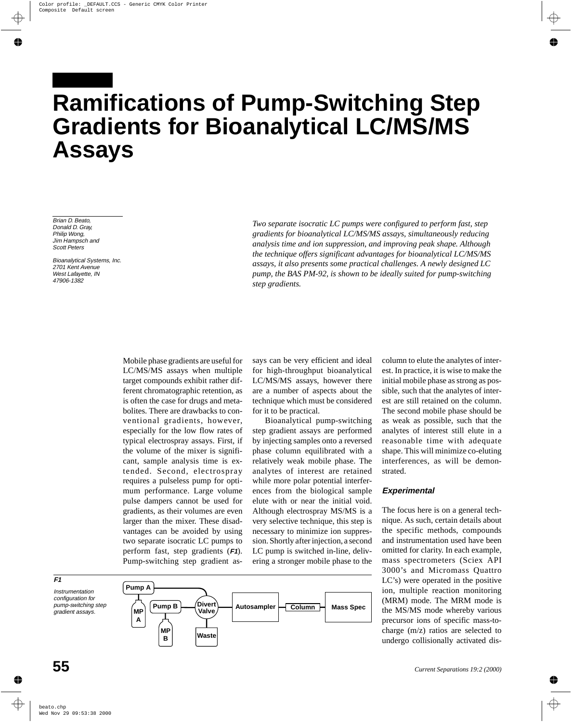# **Ramifications of Pump-Switching Step Gradients for Bioanalytical LC/MS/MS Assays**

Brian D. Beato, Donald D. Gray, Philip Wong, Jim Hampsch and Scott Peters

Bioanalytical Systems, Inc. 2701 Kent Avenue West Lafayette, IN 47906-1382

*Two separate isocratic LC pumps were configured to perform fast, step gradients for bioanalytical LC/MS/MS assays, simultaneously reducing analysis time and ion suppression, and improving peak shape. Although the technique offers significant advantages for bioanalytical LC/MS/MS assays, it also presents some practical challenges. A newly designed LC pump, the BAS PM-92, is shown to be ideally suited for pump-switching step gradients.*

Mobile phase gradients are useful for LC/MS/MS assays when multiple target compounds exhibit rather different chromatographic retention, as is often the case for drugs and metabolites. There are drawbacks to conventional gradients, however, especially for the low flow rates of typical electrospray assays. First, if the volume of the mixer is significant, sample analysis time is extended. Second, electrospray requires a pulseless pump for optimum performance. Large volume pulse dampers cannot be used for gradients, as their volumes are even larger than the mixer. These disadvantages can be avoided by using two separate isocratic LC pumps to perform fast, step gradients (**F1**). Pump-switching step gradient as-

says can be very efficient and ideal for high-throughput bioanalytical LC/MS/MS assays, however there are a number of aspects about the technique which must be considered for it to be practical.

Bioanalytical pump-switching step gradient assays are performed by injecting samples onto a reversed phase column equilibrated with a relatively weak mobile phase. The analytes of interest are retained while more polar potential interferences from the biological sample elute with or near the initial void. Although electrospray MS/MS is a very selective technique, this step is necessary to minimize ion suppression. Shortly after injection, a second LC pump is switched in-line, delivering a stronger mobile phase to the

**Column Mass Spec**

column to elute the analytes of interest. In practice, it is wise to make the initial mobile phase as strong as possible, such that the analytes of interest are still retained on the column. The second mobile phase should be as weak as possible, such that the analytes of interest still elute in a reasonable time with adequate shape. This will minimize co-eluting interferences, as will be demonstrated.

## **Experimental**

The focus here is on a general technique. As such, certain details about the specific methods, compounds and instrumentation used have been omitted for clarity. In each example, mass spectrometers (Sciex API 3000's and Micromass Quattro LC's) were operated in the positive ion, multiple reaction monitoring (MRM) mode. The MRM mode is the MS/MS mode whereby various precursor ions of specific mass-tocharge (m/z) ratios are selected to undergo collisionally activated dis-

Instrumentation configuration for pump-switching step gradient assays. **MP Pump A Divert Autosampler Valve Pump B**

> **MP B**

**Waste**

**A**



**F1**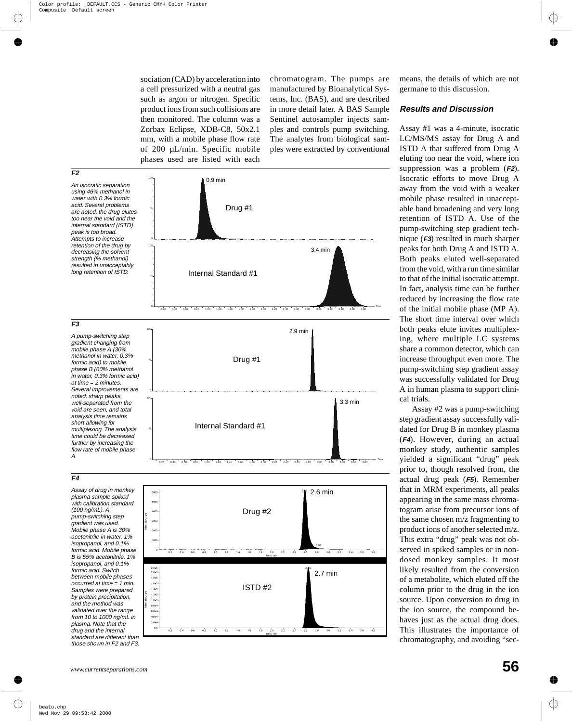sociation (CAD) by acceleration into a cell pressurized with a neutral gas such as argon or nitrogen. Specific product ions from such collisions are then monitored. The column was a Zorbax Eclipse, XDB-C8, 50x2.1 mm, with a mobile phase flow rate of 200 µL/min. Specific mobile phases used are listed with each chromatogram. The pumps are manufactured by Bioanalytical Systems, Inc. (BAS), and are described in more detail later. A BAS Sample Sentinel autosampler injects samples and controls pump switching. The analytes from biological samples were extracted by conventional



gradient was used. Mobile phase A is 30% acetonitrile in water, 1% isopropanol, and 0.1% formic acid. Mobile phase B is 55% acetonitrile, 1% isopropanol, and 0.1% formic acid. Switch between mobile phases occurred at time <sup>=</sup> 1 min. Samples were prepared by protein precipitation, and the method was validated over the range from 10 to 1000 ng/mL in plasma. Note that the drug and the internal standard are different than those shown in F2 and F3.



means, the details of which are not germane to this discussion.

#### **Results and Discussion**

Assay #1 was a 4-minute, isocratic LC/MS/MS assay for Drug A and ISTD A that suffered from Drug A eluting too near the void, where ion suppression was a problem (**F2**). Isocratic efforts to move Drug A away from the void with a weaker mobile phase resulted in unacceptable band broadening and very long retention of ISTD A. Use of the pump-switching step gradient technique (**F3**) resulted in much sharper peaks for both Drug A and ISTD A. Both peaks eluted well-separated from the void, with a run time similar to that of the initial isocratic attempt. In fact, analysis time can be further reduced by increasing the flow rate of the initial mobile phase (MP A). The short time interval over which both peaks elute invites multiplexing, where multiple LC systems share a common detector, which can increase throughput even more. The pump-switching step gradient assay was successfully validated for Drug A in human plasma to support clinical trials.

Assay #2 was a pump-switching step gradient assay successfully validated for Drug B in monkey plasma (**F4**). However, during an actual monkey study, authentic samples yielded a significant "drug" peak prior to, though resolved from, the actual drug peak (**F5**). Remember that in MRM experiments, all peaks appearing in the same mass chromatogram arise from precursor ions of the same chosen m/z fragmenting to product ions of another selected m/z. This extra "drug" peak was not observed in spiked samples or in nondosed monkey samples. It most likely resulted from the conversion of a metabolite, which eluted off the column prior to the drug in the ion source. Upon conversion to drug in the ion source, the compound behaves just as the actual drug does. This illustrates the importance of chromatography, and avoiding "sec-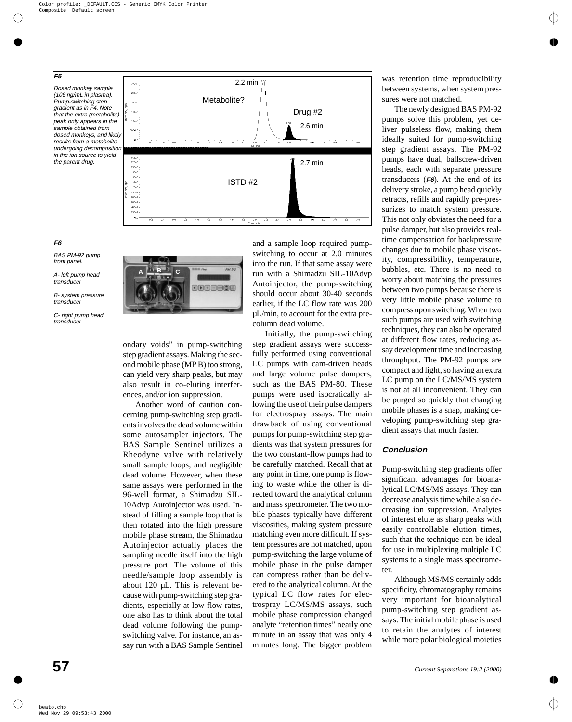

# **F6**

BAS PM-92 pump front panel.

A- left pump head transducer

B- system pressure transducer

C- right pump head transducer



ondary voids" in pump-switching step gradient assays. Making the second mobile phase (MP B) too strong, can yield very sharp peaks, but may also result in co-eluting interferences, and/or ion suppression.

Another word of caution concerning pump-switching step gradients involves the dead volume within some autosampler injectors. The BAS Sample Sentinel utilizes a Rheodyne valve with relatively small sample loops, and negligible dead volume. However, when these same assays were performed in the 96-well format, a Shimadzu SIL-10Advp Autoinjector was used. Instead of filling a sample loop that is then rotated into the high pressure mobile phase stream, the Shimadzu Autoinjector actually places the sampling needle itself into the high pressure port. The volume of this needle/sample loop assembly is about 120 µL. This is relevant because with pump-switching step gradients, especially at low flow rates, one also has to think about the total dead volume following the pumpswitching valve. For instance, an assay run with a BAS Sample Sentinel

and a sample loop required pumpswitching to occur at 2.0 minutes into the run. If that same assay were run with a Shimadzu SIL-10Advp Autoinjector, the pump-switching should occur about 30-40 seconds earlier, if the LC flow rate was 200 µL/min, to account for the extra precolumn dead volume.

Initially, the pump-switching step gradient assays were successfully performed using conventional LC pumps with cam-driven heads and large volume pulse dampers, such as the BAS PM-80. These pumps were used isocratically allowing the use of their pulse dampers for electrospray assays. The main drawback of using conventional pumps for pump-switching step gradients was that system pressures for the two constant-flow pumps had to be carefully matched. Recall that at any point in time, one pump is flowing to waste while the other is directed toward the analytical column and mass spectrometer. The two mobile phases typically have different viscosities, making system pressure matching even more difficult. If system pressures are not matched, upon pump-switching the large volume of mobile phase in the pulse damper can compress rather than be delivered to the analytical column. At the typical LC flow rates for electrospray LC/MS/MS assays, such mobile phase compression changed analyte "retention times" nearly one minute in an assay that was only 4 minutes long. The bigger problem

was retention time reproducibility between systems, when system pressures were not matched.

The newly designed BAS PM-92 pumps solve this problem, yet deliver pulseless flow, making them ideally suited for pump-switching step gradient assays. The PM-92 pumps have dual, ballscrew-driven heads, each with separate pressure transducers (**F6**). At the end of its delivery stroke, a pump head quickly retracts, refills and rapidly pre-pressurizes to match system pressure. This not only obviates the need for a pulse damper, but also provides realtime compensation for backpressure changes due to mobile phase viscosity, compressibility, temperature, bubbles, etc. There is no need to worry about matching the pressures between two pumps because there is very little mobile phase volume to compress upon switching. When two such pumps are used with switching techniques, they can also be operated at different flow rates, reducing assay development time and increasing throughput. The PM-92 pumps are compact and light, so having an extra LC pump on the LC/MS/MS system is not at all inconvenient. They can be purged so quickly that changing mobile phases is a snap, making developing pump-switching step gradient assays that much faster.

## **Conclusion**

Pump-switching step gradients offer significant advantages for bioanalytical LC/MS/MS assays. They can decrease analysis time while also decreasing ion suppression. Analytes of interest elute as sharp peaks with easily controllable elution times, such that the technique can be ideal for use in multiplexing multiple LC systems to a single mass spectrometer.

Although MS/MS certainly adds specificity, chromatography remains very important for bioanalytical pump-switching step gradient assays. The initial mobile phase is used to retain the analytes of interest while more polar biological moieties